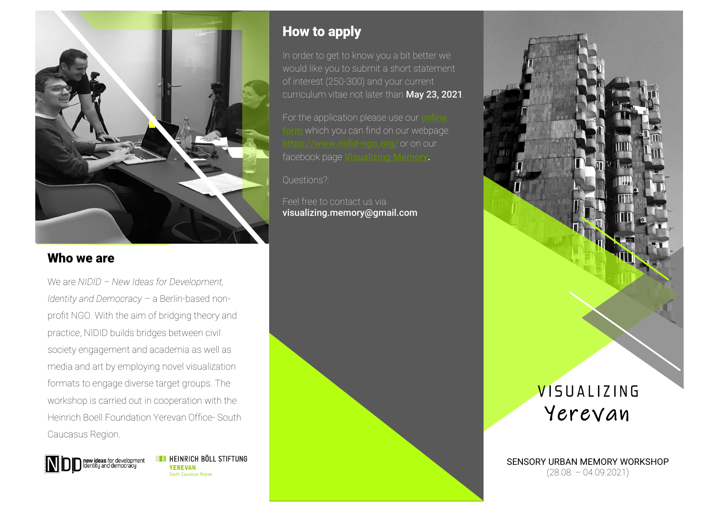

#### Who we are

We are *NIDID – New Ideas for Development, Identity and Democracy* – a Berlin-based nonprofit NGO. With the aim of bridging theory and practice, NIDID builds bridges between civil society engagement and academia as well as media and art by employing novel visualization formats to engage diverse target groups. The workshop is carried out in cooperation with the Heinrich Boell Foundation Yerevan Office- South Caucasus Region.

> **EXECUTE HEINRICH BÖLL STIFTUNG new ideas** for development<br>Identity and democracy **YEREVAN** South Caucasus Region

## How to apply

In order to get to know you a bit better we would like you to submit a short statement of interest (250-300) and your current curriculum vitae not later than May 23, 2021.

For the application please use our which you can find on our webpage  $k$  midid-ngo.org/ or on our facebook page [Visualizing Memory.](https://www.facebook.com/visualizingmemory)

Questions?:

Feel free to contact us via visualizing.memory@gmail.com



SENSORY URBAN MEMORY WORKSHOP (28.08. – 04.09.2021)